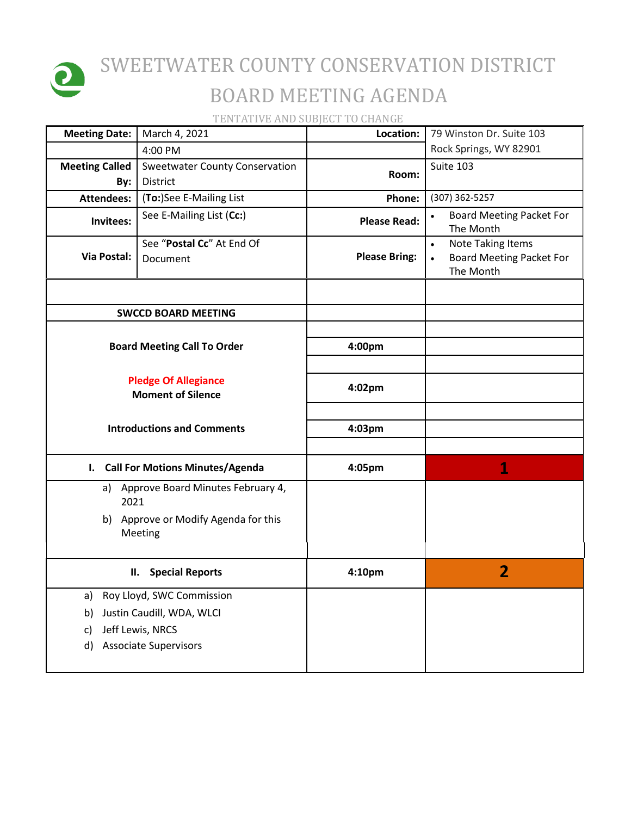

## SWEETWATER COUNTY CONSERVATION DISTRICT BOARD MEETING AGENDA

TENTATIVE AND SUBJECT TO CHANGE

| <b>Meeting Date:</b>                                    | March 4, 2021                                   | Location:            | 79 Winston Dr. Suite 103                                                       |
|---------------------------------------------------------|-------------------------------------------------|----------------------|--------------------------------------------------------------------------------|
|                                                         | 4:00 PM                                         |                      | Rock Springs, WY 82901                                                         |
| <b>Meeting Called</b>                                   | <b>Sweetwater County Conservation</b>           | Room:                | Suite 103                                                                      |
| By:                                                     | District                                        |                      |                                                                                |
| <b>Attendees:</b>                                       | (To:)See E-Mailing List                         | Phone:               | (307) 362-5257                                                                 |
| Invitees:                                               | See E-Mailing List (Cc:)                        | <b>Please Read:</b>  | <b>Board Meeting Packet For</b><br>The Month                                   |
| Via Postal:                                             | See "Postal Cc" At End Of<br>Document           | <b>Please Bring:</b> | Note Taking Items<br>$\bullet$<br><b>Board Meeting Packet For</b><br>The Month |
|                                                         |                                                 |                      |                                                                                |
|                                                         | <b>SWCCD BOARD MEETING</b>                      |                      |                                                                                |
| <b>Board Meeting Call To Order</b>                      |                                                 | 4:00pm               |                                                                                |
| <b>Pledge Of Allegiance</b><br><b>Moment of Silence</b> |                                                 | 4:02pm               |                                                                                |
| <b>Introductions and Comments</b>                       |                                                 | 4:03pm               |                                                                                |
| $\mathbf{l}$ .                                          | <b>Call For Motions Minutes/Agenda</b>          | 4:05pm               | 1                                                                              |
| a)<br>2021                                              | Approve Board Minutes February 4,               |                      |                                                                                |
|                                                         | b) Approve or Modify Agenda for this<br>Meeting |                      |                                                                                |
| <b>Special Reports</b><br>П.                            |                                                 | 4:10pm               | $\overline{2}$                                                                 |
| a)                                                      | Roy Lloyd, SWC Commission                       |                      |                                                                                |
| b)                                                      | Justin Caudill, WDA, WLCI                       |                      |                                                                                |
| c)                                                      | Jeff Lewis, NRCS                                |                      |                                                                                |
| d)                                                      | <b>Associate Supervisors</b>                    |                      |                                                                                |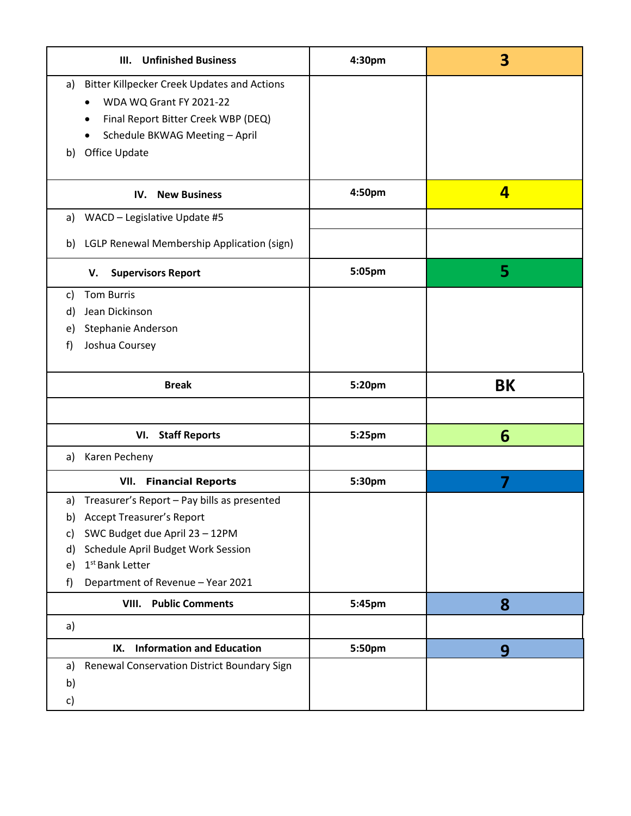| <b>Unfinished Business</b><br>III.                       | 4:30pm | 3                       |
|----------------------------------------------------------|--------|-------------------------|
| <b>Bitter Killpecker Creek Updates and Actions</b><br>a) |        |                         |
| WDA WQ Grant FY 2021-22<br>$\bullet$                     |        |                         |
| Final Report Bitter Creek WBP (DEQ)<br>٠                 |        |                         |
| Schedule BKWAG Meeting - April                           |        |                         |
| Office Update<br>b)                                      |        |                         |
|                                                          |        |                         |
| <b>New Business</b><br>IV.                               | 4:50pm | $\overline{\mathbf{4}}$ |
| WACD - Legislative Update #5<br>a)                       |        |                         |
| LGLP Renewal Membership Application (sign)<br>b)         |        |                         |
| <b>Supervisors Report</b><br>V.                          | 5:05pm | 5                       |
| <b>Tom Burris</b><br>C)                                  |        |                         |
| Jean Dickinson<br>d)                                     |        |                         |
| Stephanie Anderson<br>e)                                 |        |                         |
| Joshua Coursey<br>f)                                     |        |                         |
|                                                          |        |                         |
| <b>Break</b>                                             | 5:20pm | BK                      |
|                                                          |        |                         |
|                                                          |        |                         |
| <b>Staff Reports</b><br>VI.                              | 5:25pm | 6                       |
| a) Karen Pecheny                                         |        |                         |
| <b>VII.</b> Financial Reports                            | 5:30pm | 7                       |
| Treasurer's Report - Pay bills as presented<br>a)        |        |                         |
| <b>Accept Treasurer's Report</b><br>b)                   |        |                         |
| SWC Budget due April 23 - 12PM<br>c)                     |        |                         |
| Schedule April Budget Work Session<br>d)                 |        |                         |
| 1 <sup>st</sup> Bank Letter<br>e)                        |        |                         |
| Department of Revenue - Year 2021<br>f)                  |        |                         |
| <b>Public Comments</b><br>VIII.                          | 5:45pm | 8                       |
| a)                                                       |        |                         |
| <b>Information and Education</b><br>IX.                  | 5:50pm | 9                       |
| Renewal Conservation District Boundary Sign<br>a)        |        |                         |
| b)                                                       |        |                         |